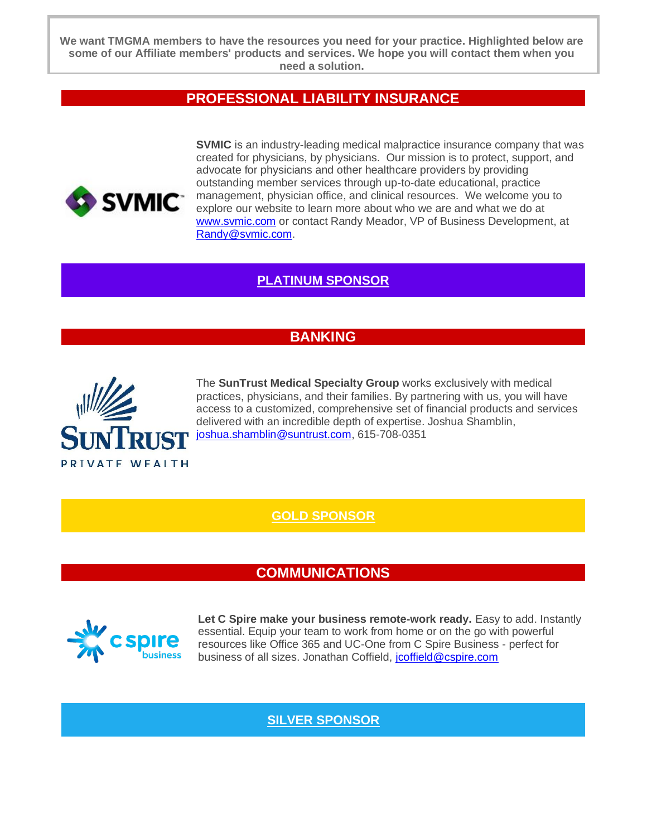**We want TMGMA members to have the resources you need for your practice. Highlighted below are some of our Affiliate members' products and services. We hope you will contact them when you need a solution.**

#### **PROFESSIONAL LIABILITY INSURANCE**



**SVMIC** is an industry-leading medical malpractice insurance company that was created for physicians, by physicians. Our mission is to protect, support, and advocate for physicians and other healthcare providers by providing outstanding member services through up-to-date educational, practice management, physician office, and clinical resources. We welcome you to explore our website to learn more about who we are and what we do at [www.svmic.com](http://www.svmic.com/) or contact Randy Meador, VP of Business Development, at [Randy@svmic.com.](mailto:Randy@svmic.com)

#### **[PLATINUM SPONSOR](https://home.svmic.com/)**

#### **BANKING**



The **SunTrust Medical Specialty Group** works exclusively with medical practices, physicians, and their families. By partnering with us, you will have access to a customized, comprehensive set of financial products and services delivered with an incredible depth of expertise. Joshua Shamblin, [joshua.shamblin@suntrust.com,](mailto:joshua.shamblin@suntrust.com) 615-708-0351

**[GOLD SPONSOR](https://www.suntrust.com/wealth-management)** 

#### **COMMUNICATIONS**



**Let C Spire make your business remote-work ready.** Easy to add. Instantly essential. Equip your team to work from home or on the go with powerful resources like Office 365 and UC-One from C Spire Business - perfect for business of all sizes. Jonathan Coffield, <u>[jcoffield@cspire.com](mailto:jcoffield@cspire.com)</u>

#### **[SILVER SPONSOR](https://www.cspire.com/business/)**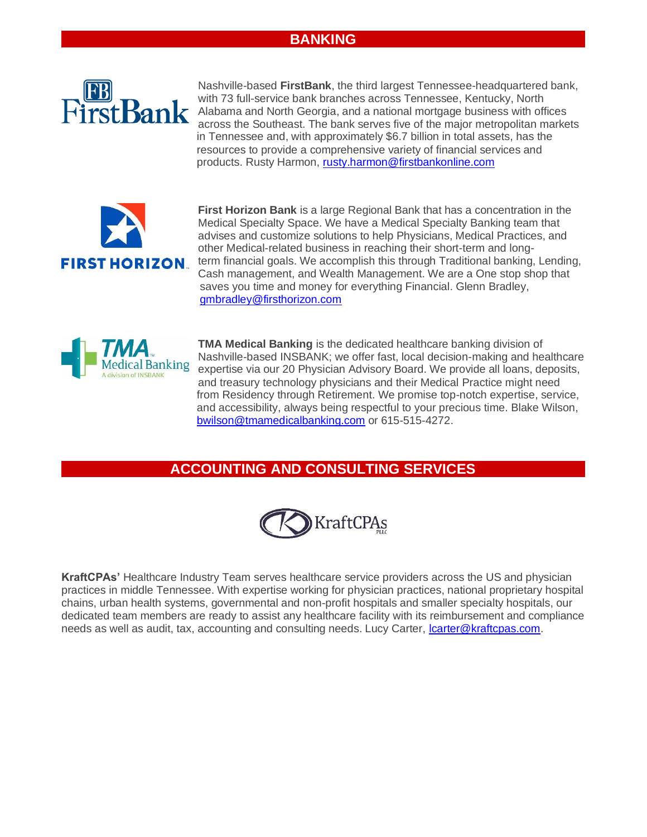#### **BANKING**



Nashville-based **FirstBank**, the third largest Tennessee-headquartered bank, with 73 full-service bank branches across Tennessee, Kentucky, North Alabama and North Georgia, and a national mortgage business with offices across the Southeast. The bank serves five of the major metropolitan markets in Tennessee and, with approximately \$6.7 billion in total assets, has the resources to provide a comprehensive variety of financial services and products. Rusty Harmon, [rusty.harmon@firstbankonline.com](mailto:rusty.harmon@firstbankonline.com)



**First Horizon Bank** is a large Regional Bank that has a concentration in the Medical Specialty Space. We have a Medical Specialty Banking team that advises and customize solutions to help Physicians, Medical Practices, and other Medical-related business in reaching their short-term and longterm financial goals. We accomplish this through Traditional banking, Lending, Cash management, and Wealth Management. We are a One stop shop that saves you time and money for everything Financial. Glenn Bradley, [gmbradley@firsthorizon.com](mailto:gmbradley@firsthorizon.com)



**TMA Medical Banking** is the dedicated healthcare banking division of Nashville-based INSBANK; we offer fast, local decision-making and healthcare expertise via our 20 Physician Advisory Board. We provide all loans, deposits, and treasury technology physicians and their Medical Practice might need from Residency through Retirement. We promise top-notch expertise, service, and accessibility, always being respectful to your precious time. Blake Wilson, [bwilson@tmamedicalbanking.com](mailto:bwilson@tmamedicalbanking.com) or 615-515-4272.

#### **ACCOUNTING AND CONSULTING SERVICES**



**KraftCPAs'** Healthcare Industry Team serves healthcare service providers across the US and physician practices in middle Tennessee. With expertise working for physician practices, national proprietary hospital chains, urban health systems, governmental and non-profit hospitals and smaller specialty hospitals, our dedicated team members are ready to assist any healthcare facility with its reimbursement and compliance needs as well as audit, tax, accounting and consulting needs. Lucy Carter, [lcarter@kraftcpas.com.](mailto:lcarter@kraftcpas.com)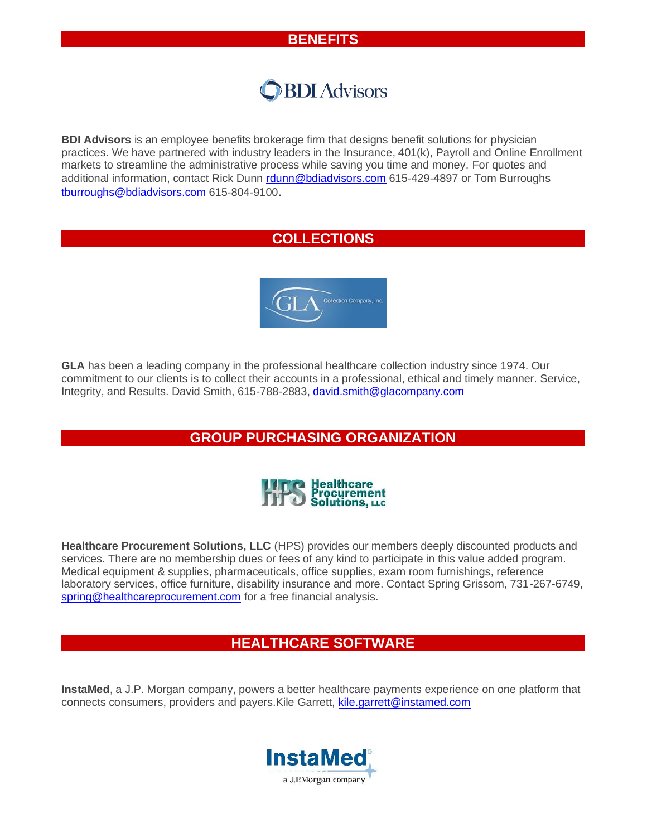#### **BENEFITS**

### **BDI** Advisors

**BDI Advisors** is an employee benefits brokerage firm that designs benefit solutions for physician practices. We have partnered with industry leaders in the Insurance, 401(k), Payroll and Online Enrollment markets to streamline the administrative process while saving you time and money. For quotes and additional information, contact Rick Dunn [rdunn@bdiadvisors.com](mailto:rdunn@bdiadvisors.com) 615-429-4897 or Tom Burroughs [tburroughs@bdiadvisors.com](mailto:tburroughs@bdiadvisors.com) 615-804-9100.

#### **COLLECTIONS**



**GLA** has been a leading company in the professional healthcare collection industry since 1974. Our commitment to our clients is to collect their accounts in a professional, ethical and timely manner. Service, Integrity, and Results. David Smith, 615-788-2883, [david.smith@glacompany.com](mailto:david.smith@glacompany.com)

#### **GROUP PURCHASING ORGANIZATION**



**Healthcare Procurement Solutions, LLC** (HPS) provides our members deeply discounted products and services. There are no membership dues or fees of any kind to participate in this value added program. Medical equipment & supplies, pharmaceuticals, office supplies, exam room furnishings, reference laboratory services, office furniture, disability insurance and more. Contact Spring Grissom, 731-267-6749, [spring@healthcareprocurement.com](mailto:spring@healthcareprocurement.com) for a free financial analysis.

#### **HEALTHCARE SOFTWARE**

**InstaMed**, a J.P. Morgan company, powers a better healthcare payments experience on one platform that connects consumers, providers and payers.Kile Garrett, [kile.garrett@instamed.com](mailto:kile.garrett@instamed.com)

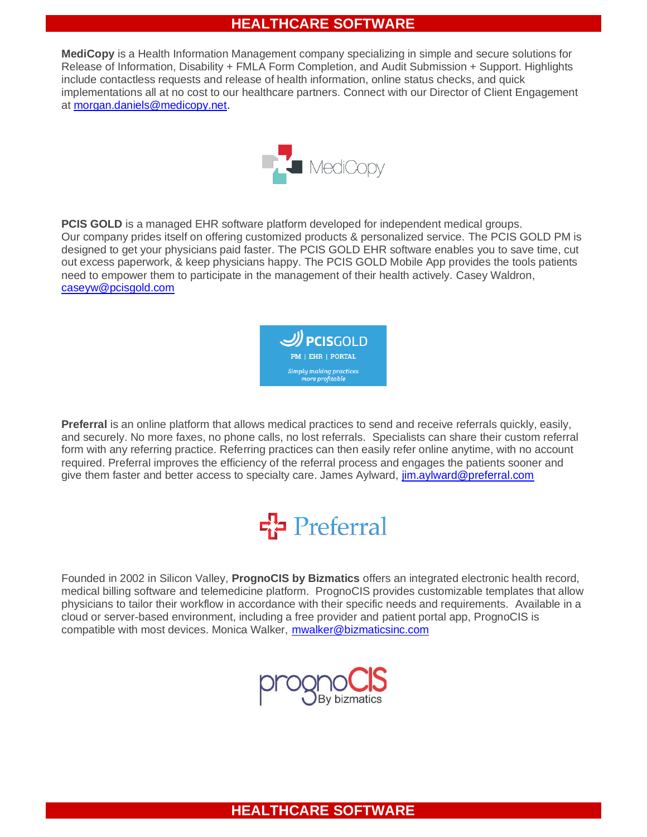#### **HEALTHCARE SOFTWARE**

**MediCopy** is a Health Information Management company specializing in simple and secure solutions for Release of Information, Disability + FMLA Form Completion, and Audit Submission + Support. Highlights include contactless requests and release of health information, online status checks, and quick implementations all at no cost to our healthcare partners. Connect with our Director of Client Engagement at [morgan.daniels@medicopy.net.](mailto:morgan.daniels@medicopy.net)



**PCIS GOLD** is a managed EHR software platform developed for independent medical groups. Our company prides itself on offering customized products & personalized service. The PCIS GOLD PM is designed to get your physicians paid faster. The PCIS GOLD EHR software enables you to save time, cut out excess paperwork, & keep physicians happy. The PCIS GOLD Mobile App provides the tools patients need to empower them to participate in the management of their health actively. Casey Waldron, [caseyw@pcisgold.com](mailto:caseyw@pcisgold.com)



**Preferral** is an online platform that allows medical practices to send and receive referrals quickly, easily, and securely. No more faxes, no phone calls, no lost referrals. Specialists can share their custom referral form with any referring practice. Referring practices can then easily refer online anytime, with no account required. Preferral improves the efficiency of the referral process and engages the patients sooner and give them faster and better access to specialty care. James Aylward, [jim.aylward@preferral.com](mailto:jim.aylward@preferral.com)

## $F_1^T$  Preferral

Founded in 2002 in Silicon Valley, **PrognoCIS by Bizmatics** offers an integrated electronic health record, medical billing software and telemedicine platform. PrognoCIS provides customizable templates that allow physicians to tailor their workflow in accordance with their specific needs and requirements. Available in a cloud or server-based environment, including a free provider and patient portal app, PrognoCIS is compatible with most devices. Monica Walker, [mwalker@bizmaticsinc.com](mailto:mwalker@bizmaticsinc.com)



#### **HEALTHCARE SOFTWARE**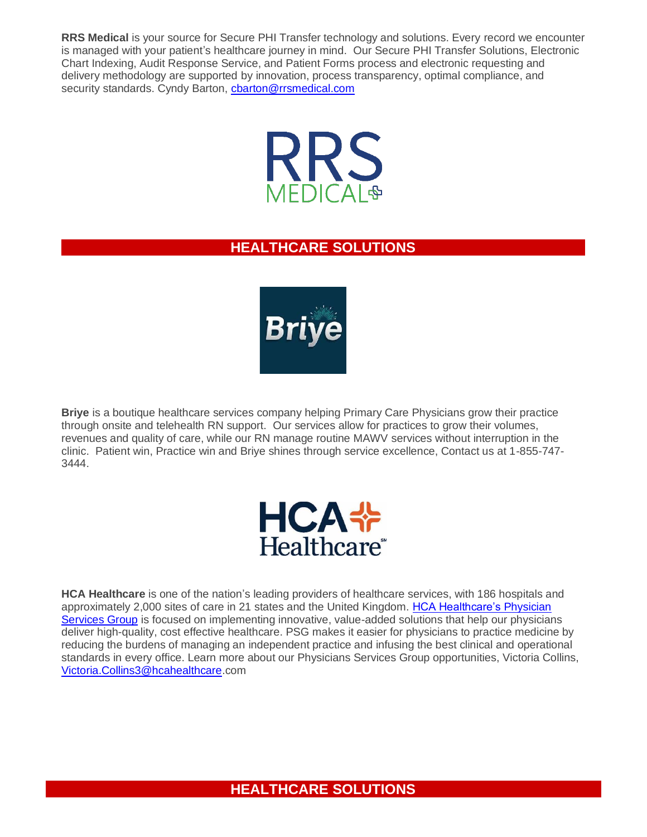**RRS Medical** is your source for Secure PHI Transfer technology and solutions. Every record we encounter is managed with your patient's healthcare journey in mind. Our Secure PHI Transfer Solutions, Electronic Chart Indexing, Audit Response Service, and Patient Forms process and electronic requesting and delivery methodology are supported by innovation, process transparency, optimal compliance, and security standards. Cyndy Barton, [cbarton@rrsmedical.com](mailto:cbarton@rrsmedical.com)



#### **HEALTHCARE SOLUTIONS**



**Briye** is a boutique healthcare services company helping Primary Care Physicians grow their practice through onsite and telehealth RN support. Our services allow for practices to grow their volumes, revenues and quality of care, while our RN manage routine MAWV services without interruption in the clinic. Patient win, Practice win and Briye shines through service excellence, Contact us at 1-855-747- 3444.



**HCA Healthcare** is one of the nation's leading providers of healthcare services, with 186 hospitals and approximately 2,000 sites of care in 21 states and the United Kingdom. [HCA Healthcare's](https://www.linkedin.com/company/hca-physician-services) Physician [Services Group](https://www.linkedin.com/company/hca-physician-services) is focused on implementing innovative, value-added solutions that help our physicians deliver high-quality, cost effective healthcare. PSG makes it easier for physicians to practice medicine by reducing the burdens of managing an independent practice and infusing the best clinical and operational standards in every office. Learn more about our Physicians Services Group opportunities, Victoria Collins, [Victoria.Collins3@hcahealthcare.](mailto:Victoria.Collins3@hcahealthcare)com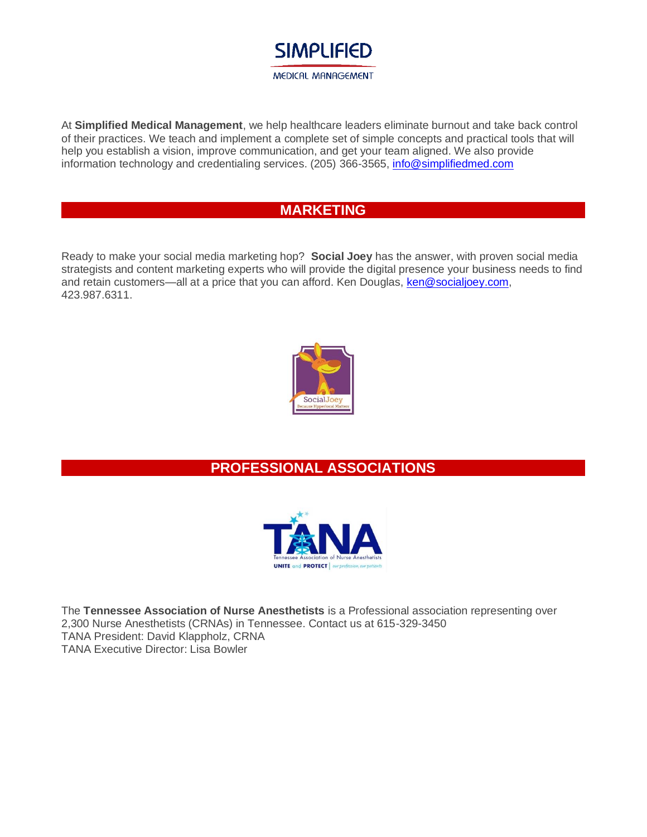

At **Simplified Medical Management**, we help healthcare leaders eliminate burnout and take back control of their practices. We teach and implement a complete set of simple concepts and practical tools that will help you establish a vision, improve communication, and get your team aligned. We also provide information technology and credentialing services. (205) 366-3565, [info@simplifiedmed.com](mailto:info@simplifiedmed.com)

#### **MARKETING**

Ready to make your social media marketing hop? **Social Joey** has the answer, with proven social media strategists and content marketing experts who will provide the digital presence your business needs to find and retain customers—all at a price that you can afford. Ken Douglas, [ken@socialjoey.com,](mailto:ken@socialjoey.com) 423.987.6311.



#### **PROFESSIONAL ASSOCIATIONS**



The **Tennessee Association of Nurse Anesthetists** is a Professional association representing over 2,300 Nurse Anesthetists (CRNAs) in Tennessee. Contact us at 615-329-3450 TANA President: David Klappholz, CRNA TANA Executive Director: Lisa Bowler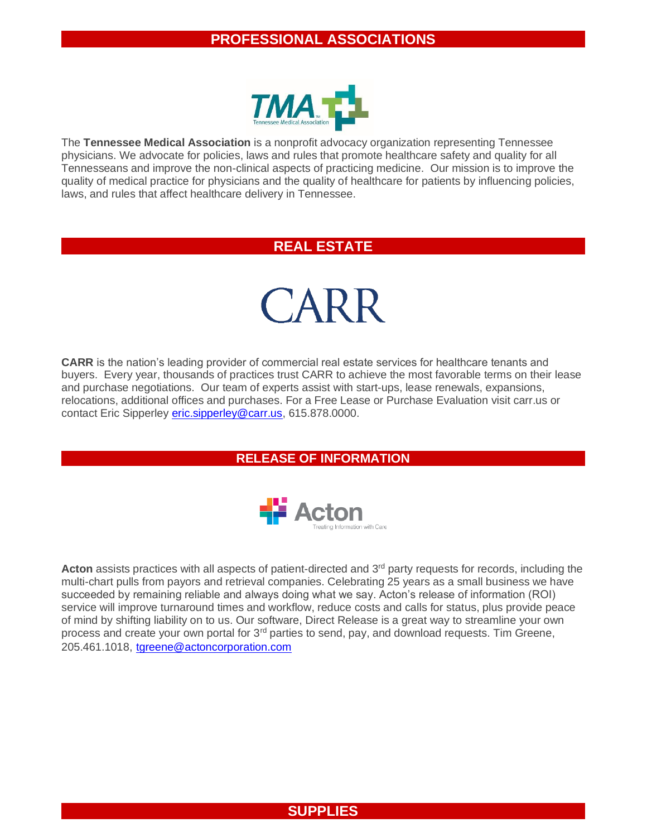

The **Tennessee Medical Association** is a nonprofit advocacy organization representing Tennessee physicians. We advocate for policies, laws and rules that promote healthcare safety and quality for all Tennesseans and improve the non-clinical aspects of practicing medicine. Our mission is to improve the quality of medical practice for physicians and the quality of healthcare for patients by influencing policies, laws, and rules that affect healthcare delivery in Tennessee.

#### **REAL ESTATE**

# CARR

**CARR** is the nation's leading provider of commercial real estate services for healthcare tenants and buyers. Every year, thousands of practices trust CARR to achieve the most favorable terms on their lease and purchase negotiations. Our team of experts assist with start-ups, lease renewals, expansions, relocations, additional offices and purchases. For a Free Lease or Purchase Evaluation visit carr.us or contact Eric Sipperley [eric.sipperley@carr.us,](mailto:eric.sipperley@carr.us) 615.878.0000.

**RELEASE OF INFORMATION**



Acton assists practices with all aspects of patient-directed and 3<sup>rd</sup> party requests for records, including the multi-chart pulls from payors and retrieval companies. Celebrating 25 years as a small business we have succeeded by remaining reliable and always doing what we say. Acton's release of information (ROI) service will improve turnaround times and workflow, reduce costs and calls for status, plus provide peace of mind by shifting liability on to us. Our software, Direct Release is a great way to streamline your own process and create your own portal for 3<sup>rd</sup> parties to send, pay, and download requests. Tim Greene, 205.461.1018, [tgreene@actoncorporation.com](mailto:tgreene@actoncorporation.com)